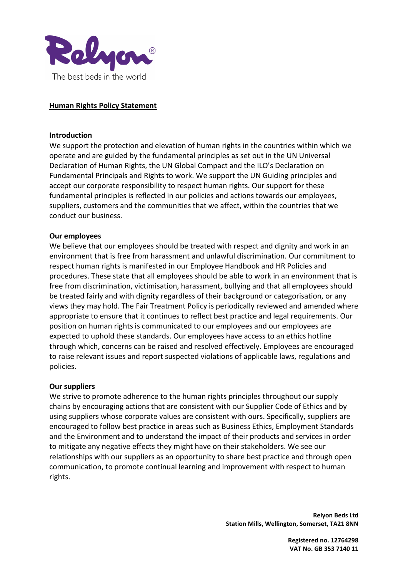

# Human Rights Policy Statement

#### Introduction

We support the protection and elevation of human rights in the countries within which we operate and are guided by the fundamental principles as set out in the UN Universal Declaration of Human Rights, the UN Global Compact and the ILO's Declaration on Fundamental Principals and Rights to work. We support the UN Guiding principles and accept our corporate responsibility to respect human rights. Our support for these fundamental principles is reflected in our policies and actions towards our employees, suppliers, customers and the communities that we affect, within the countries that we conduct our business.

## Our employees

We believe that our employees should be treated with respect and dignity and work in an environment that is free from harassment and unlawful discrimination. Our commitment to respect human rights is manifested in our Employee Handbook and HR Policies and procedures. These state that all employees should be able to work in an environment that is free from discrimination, victimisation, harassment, bullying and that all employees should be treated fairly and with dignity regardless of their background or categorisation, or any views they may hold. The Fair Treatment Policy is periodically reviewed and amended where appropriate to ensure that it continues to reflect best practice and legal requirements. Our position on human rights is communicated to our employees and our employees are expected to uphold these standards. Our employees have access to an ethics hotline through which, concerns can be raised and resolved effectively. Employees are encouraged to raise relevant issues and report suspected violations of applicable laws, regulations and policies.

#### Our suppliers

We strive to promote adherence to the human rights principles throughout our supply chains by encouraging actions that are consistent with our Supplier Code of Ethics and by using suppliers whose corporate values are consistent with ours. Specifically, suppliers are encouraged to follow best practice in areas such as Business Ethics, Employment Standards and the Environment and to understand the impact of their products and services in order to mitigate any negative effects they might have on their stakeholders. We see our relationships with our suppliers as an opportunity to share best practice and through open communication, to promote continual learning and improvement with respect to human rights.

> Relyon Beds Ltd Station Mills, Wellington, Somerset, TA21 8NN

> > Registered no. 12764298 VAT No. GB 353 7140 11